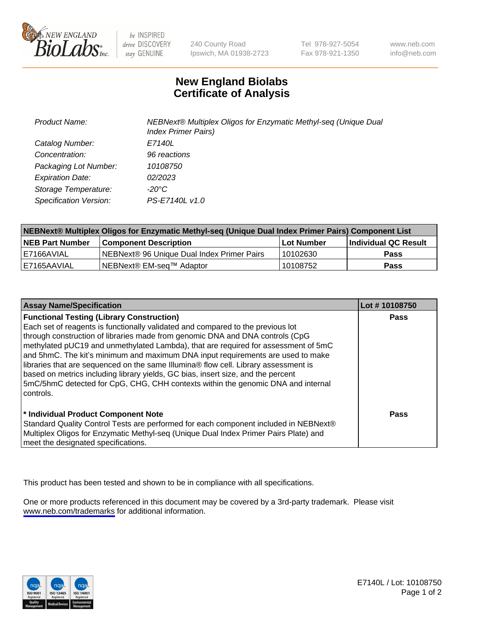

be INSPIRED drive DISCOVERY stay GENUINE

240 County Road Ipswich, MA 01938-2723 Tel 978-927-5054 Fax 978-921-1350

www.neb.com info@neb.com

## **New England Biolabs Certificate of Analysis**

| <b>Product Name:</b>    | NEBNext® Multiplex Oligos for Enzymatic Methyl-seq (Unique Dual<br><b>Index Primer Pairs)</b> |
|-------------------------|-----------------------------------------------------------------------------------------------|
| Catalog Number:         | E7140L                                                                                        |
| Concentration:          | 96 reactions                                                                                  |
| Packaging Lot Number:   | 10108750                                                                                      |
| <b>Expiration Date:</b> | 02/2023                                                                                       |
| Storage Temperature:    | -20°C                                                                                         |
| Specification Version:  | PS-E7140L v1.0                                                                                |

| NEBNext® Multiplex Oligos for Enzymatic Methyl-seq (Unique Dual Index Primer Pairs) Component List |                                                   |            |                      |  |
|----------------------------------------------------------------------------------------------------|---------------------------------------------------|------------|----------------------|--|
| <b>NEB Part Number</b>                                                                             | <b>Component Description</b>                      | Lot Number | Individual QC Result |  |
| I E7166AVIAL                                                                                       | <b>NEBNext® 96 Unique Dual Index Primer Pairs</b> | 10102630   | <b>Pass</b>          |  |
| E7165AAVIAL                                                                                        | NEBNext® EM-seq™ Adaptor                          | 10108752   | <b>Pass</b>          |  |

| <b>Assay Name/Specification</b>                                                      | Lot #10108750 |
|--------------------------------------------------------------------------------------|---------------|
| <b>Functional Testing (Library Construction)</b>                                     | <b>Pass</b>   |
| Each set of reagents is functionally validated and compared to the previous lot      |               |
| through construction of libraries made from genomic DNA and DNA controls (CpG        |               |
| methylated pUC19 and unmethylated Lambda), that are required for assessment of 5mC   |               |
| and 5hmC. The kit's minimum and maximum DNA input requirements are used to make      |               |
| libraries that are sequenced on the same Illumina® flow cell. Library assessment is  |               |
| based on metrics including library yields, GC bias, insert size, and the percent     |               |
| 5mC/5hmC detected for CpG, CHG, CHH contexts within the genomic DNA and internal     |               |
| controls.                                                                            |               |
|                                                                                      |               |
| * Individual Product Component Note                                                  | Pass          |
| Standard Quality Control Tests are performed for each component included in NEBNext® |               |
| Multiplex Oligos for Enzymatic Methyl-seq (Unique Dual Index Primer Pairs Plate) and |               |
| meet the designated specifications.                                                  |               |

This product has been tested and shown to be in compliance with all specifications.

One or more products referenced in this document may be covered by a 3rd-party trademark. Please visit <www.neb.com/trademarks>for additional information.